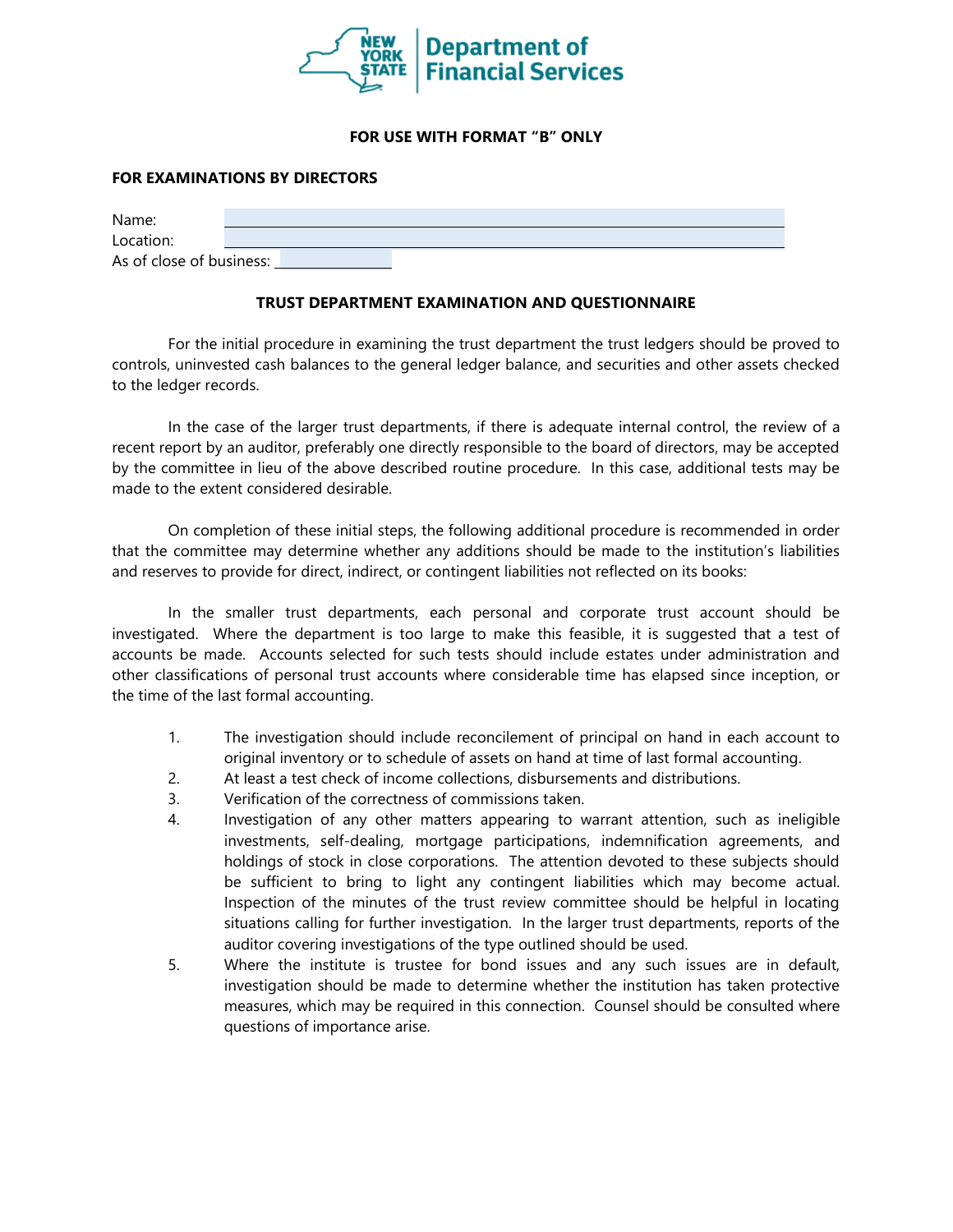

## **FOR USE WITH FORMAT "B" ONLY**

## **FOR EXAMINATIONS BY DIRECTORS**

| Name:                    |  |  |  |
|--------------------------|--|--|--|
| Location:                |  |  |  |
| As of close of business: |  |  |  |

## **TRUST DEPARTMENT EXAMINATION AND QUESTIONNAIRE**

For the initial procedure in examining the trust department the trust ledgers should be proved to controls, uninvested cash balances to the general ledger balance, and securities and other assets checked to the ledger records.

In the case of the larger trust departments, if there is adequate internal control, the review of a recent report by an auditor, preferably one directly responsible to the board of directors, may be accepted by the committee in lieu of the above described routine procedure. In this case, additional tests may be made to the extent considered desirable.

On completion of these initial steps, the following additional procedure is recommended in order that the committee may determine whether any additions should be made to the institution's liabilities and reserves to provide for direct, indirect, or contingent liabilities not reflected on its books:

In the smaller trust departments, each personal and corporate trust account should be investigated. Where the department is too large to make this feasible, it is suggested that a test of accounts be made. Accounts selected for such tests should include estates under administration and other classifications of personal trust accounts where considerable time has elapsed since inception, or the time of the last formal accounting.

- 1. The investigation should include reconcilement of principal on hand in each account to original inventory or to schedule of assets on hand at time of last formal accounting.
- 2. At least a test check of income collections, disbursements and distributions.
- 3. Verification of the correctness of commissions taken.
- 4. Investigation of any other matters appearing to warrant attention, such as ineligible investments, self-dealing, mortgage participations, indemnification agreements, and holdings of stock in close corporations. The attention devoted to these subjects should be sufficient to bring to light any contingent liabilities which may become actual. Inspection of the minutes of the trust review committee should be helpful in locating situations calling for further investigation. In the larger trust departments, reports of the auditor covering investigations of the type outlined should be used.
- 5. Where the institute is trustee for bond issues and any such issues are in default, investigation should be made to determine whether the institution has taken protective measures, which may be required in this connection. Counsel should be consulted where questions of importance arise.